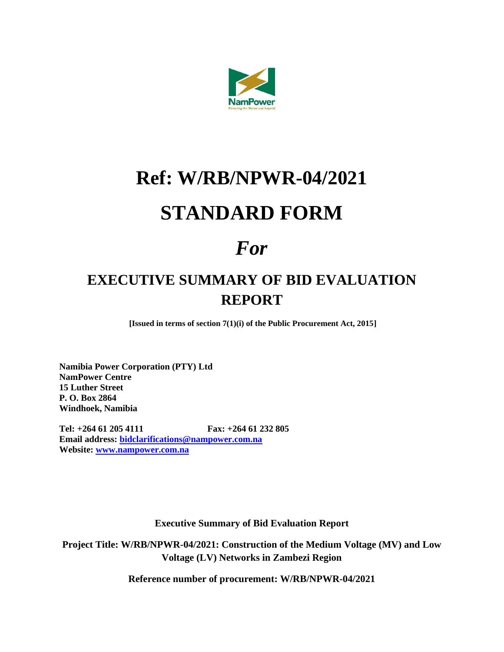

## **Ref: W/RB/NPWR-04/2021 STANDARD FORM**

## *For*

## **EXECUTIVE SUMMARY OF BID EVALUATION REPORT**

**[Issued in terms of section 7(1)(i) of the Public Procurement Act, 2015]**

**Namibia Power Corporation (PTY) Ltd NamPower Centre 15 Luther Street P. O. Box 2864 Windhoek, Namibia**

**Tel: +264 61 205 4111 Fax: +264 61 232 805 Email address: [bidclarifications@nampower.com.na](mailto:bidclarifications@nampower.com.na) Website: [www.nampower.com.na](http://www.nampower.com.na/)**

**Executive Summary of Bid Evaluation Report**

**Project Title: W/RB/NPWR-04/2021: Construction of the Medium Voltage (MV) and Low Voltage (LV) Networks in Zambezi Region**

**Reference number of procurement: W/RB/NPWR-04/2021**